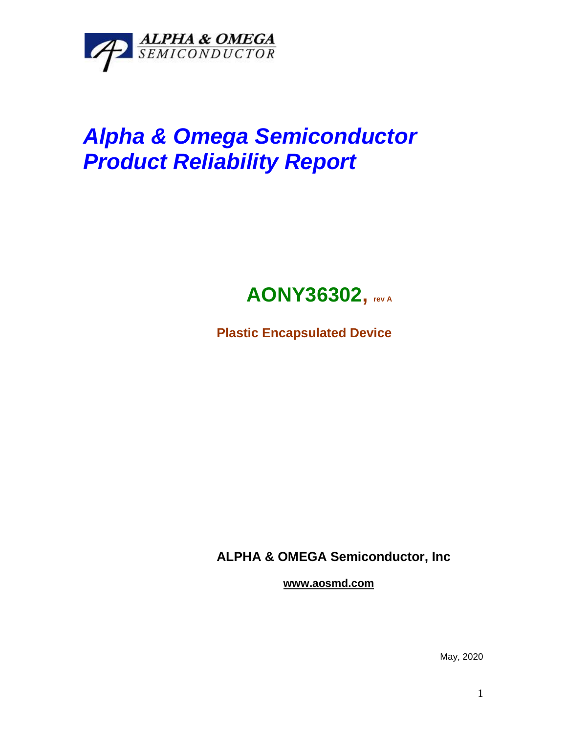

# *Alpha & Omega Semiconductor Product Reliability Report*



**Plastic Encapsulated Device**

**ALPHA & OMEGA Semiconductor, Inc**

**www.aosmd.com**

May, 2020